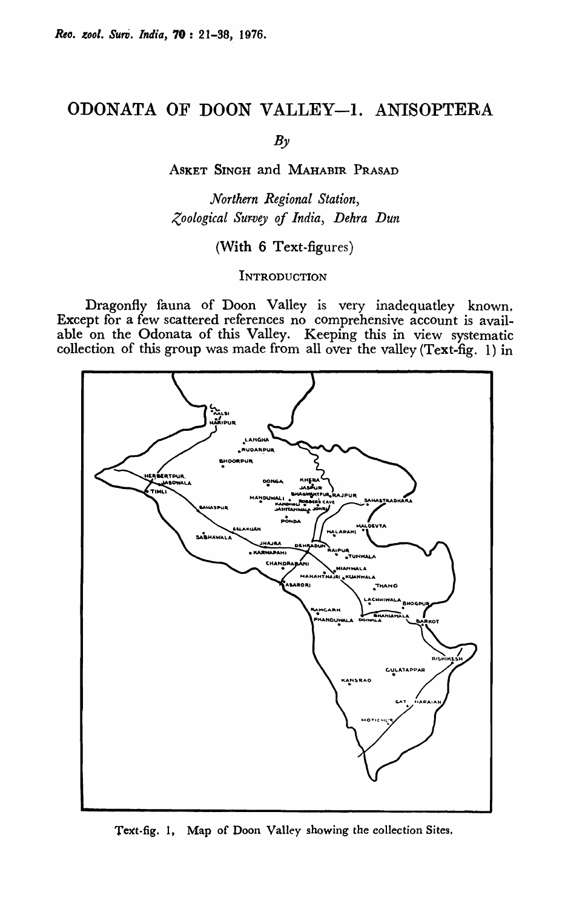# ODONATA OF DOON VALLEY-1. ANISOPTERA

 $B_{\nu}$ 

ASKET SINGH and MAHABIR PRASAD

*Northern Regional Station, Zoological Sur.vey of India, Dehra Dun* 

(With 6 Text-figures)

**INTRODUCTION** 

Dragonfly fauna of Doon Valley is very inadequatley known. Except for a few scattered references no comprehensive account is available on the Odonata of this Valley. Keeping this in view systematic collection of this group was made from all over the valley (Text-fig. 1) in



Text-fig. 1, Map of Doon Valley showing the collection Sites.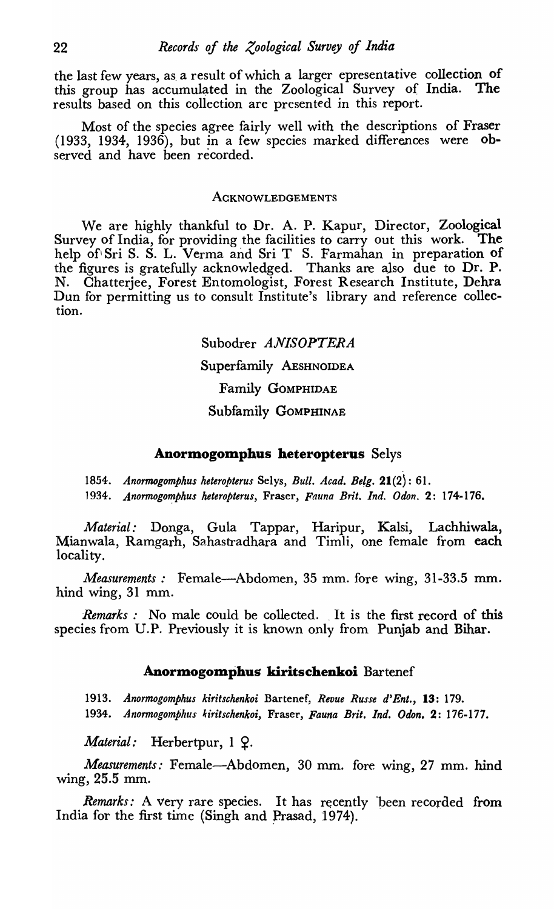the last few years, as a result of which a larger epresentative collection of this group has accumulated in the Zoological Survey of India. The results based on this collection are presented in this report.

Most of the species agree fairly well with the descriptions of Fraser (1933, 1934, 1936), but in a few species marked differences were observed and have been recorded.

#### ACKNOWLEDGEMENTS

We are highly thankful to Dr. A. P. Kapur, Director, Zoological Survey of India, for providing the facilities to carry out this work. The help of Sri S. S. L. Verma and Sri T S. Farmahan in preparation of the figures is gratefully acknowledged. Thanks are aJso due to Dr. P. N. Chatterjee, Forest Entomologist, Forest Research Institute, Dehra Dun for permitting us to consult Institute's library and reference collection.

> Subodrer *ANISOPTERA*  Superfamily AESHNOIDEA Family GOMPHIDAE Subfamily GOMPHINAE

## **Anormogomphus heteropterus** Selys

*1854. Anormogomphus heteropterus* Selys, *Bull. A cad. Be!g.* 21(2): 61.

1934. Anormogomphus heteropterus, Fraser, *Fauna Brit. Ind. Odon.* 2: 174-176.

*Material:* Donga, Gula Tappar, Haripur, Kalsi, Lachhiwala, Mianwala, Ramgarh, Sahastradhara and Timli, one female from each locality.

*Measurements*: Female-Abdomen, 35 mm. fore wing, 31-33.5 mm. hind wing, 31 mm.

*Remarks*: No male could be collected. It is the first record of this species from *V.P.* Previously it is known only from Punjab and Bihar.

## Anormogomphus kiritschenkoi Bartenef

*1913. Anormogomphus kiritschenkoi* Bartenef, *Revue Russe d' Ent.,* **13:** 179. 1934. *Anormogomphus kiritschenkoi,* Fraser, *Fauna Brit. Ind. Ddon.* 2: 176-177.

*Material:* Herbertpur, 1  $\Omega$ .

*Measurements.·* Female-Abdomen, 30 mm. fore wing, 27 mm. hind wing, 25.5 mm.

*Remarks:* A very rare species. It has recently been recorded from India for the first time (Singh and Prasad, 1974).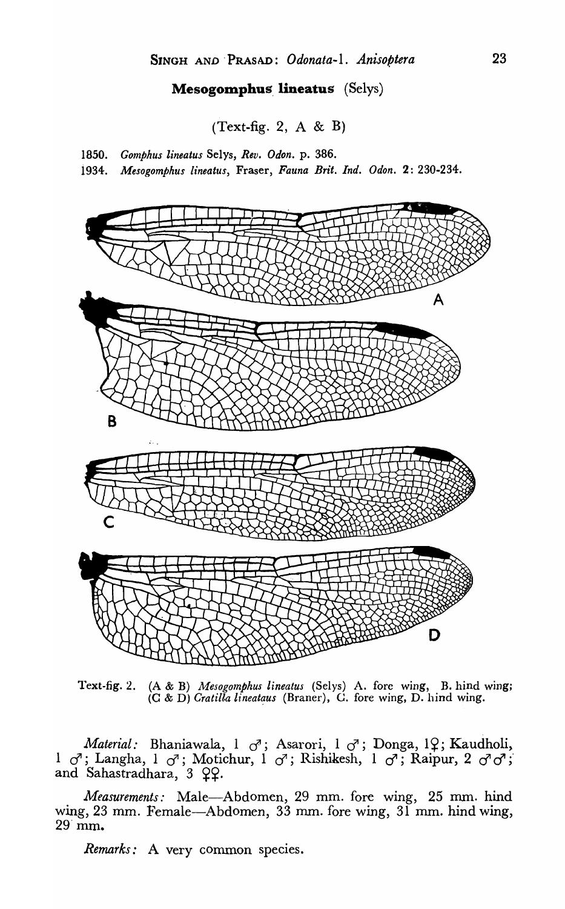## **Mesogomphus lineatus** (Selys)

 $(Text-fig. 2, A & B)$ 

*1850. Gomphus lineatus* Selys, *Rev. Odon.* p. 386.

i934. *Mesogomphus lineatus,* Fraser, *Fauna Brit. Ind. Odon.* 2: 230-234.



l'ext-fig.2. (A & B) *Mcsogomphus lineatus* (Selys) A. fore wing, B. hind wing; (C & D) *Cratilla lineatqus* (Braner), C. fore wing, D. hind wing.

*Material:* Bhaniawala, 1  $\sigma$ ; Asarori, 1  $\sigma$ ; Donga, 19; Kaudholi, 1 *d*'; Langha, 1 *d*'; Motichur, 1 *d*'; Rishikesh, 1 *d*'; Raipur, 2 *d*'*d*'; and Sahastradhara,  $3 \Omega$ .

*Measurements:* Male-Abdomen, 29 mm. fore wing, 25 mm. hind wing, 23 mm. Female-Abdomen, 33 mm. fore wing, 31 mm. hind wing, 29· mm.

*Remarks:* A very common species.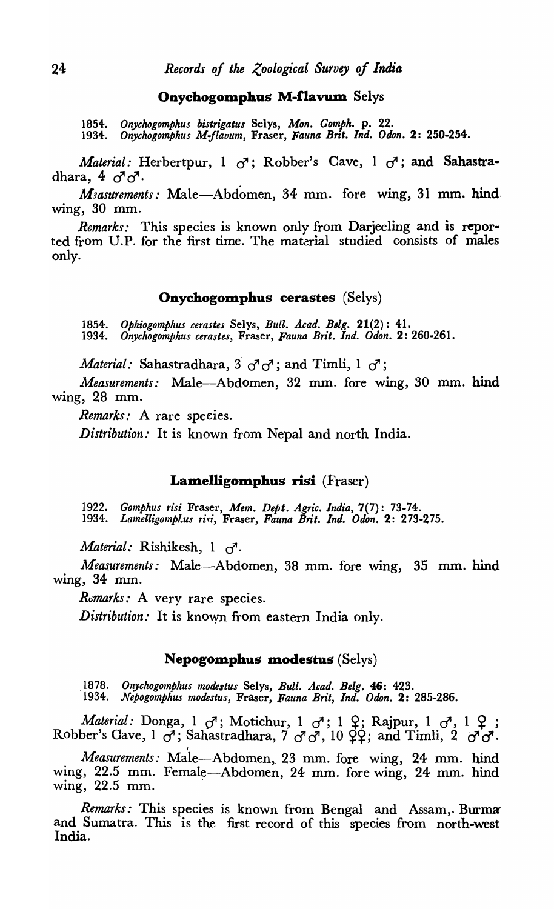#### Onychogomphus M-flavum Selys

*1854. Onychogomphus bistrigatus* Selys, *Mon. Gomph.* p. 22.

*1934. Onychogomphus M-Jlavum,* Fraser, *Fauna Brit. Ind. Oion.* 2: 250·254.

*Material:* Herbertpur,  $1 \sigma$ ; Robber's Cave,  $1 \sigma$ ; and Sahastradhara,  $4 \sigma$ <sup> $\sigma$ </sup>.

*M*<sub>2</sub> asurements: Male—Abdomen, 34 mm. fore wing, 31 mm. hind. wing, 30 mm.

*Remarks:* This species is known only from Darjeeling and is reported from U.P. for the first time. The material studied consists of males only.

#### Onychogomphus cerastes (Selys)

1854. Ophiogomphus cerastes Selys, Bull. Acad. Belg. 21(2): 41. *1934. Onychogomphus cerastes,* Fraser, *Fauna Brit. Ind. Odon.* 2: 260·261.

*Material:* Sahastradhara, 3' *d'd';* and Timli, 1 *d';* 

*Measurements:* Male-Abdomen, 32 mm. fore wing, 30 mm. hind wing, 28 mm.

*Remarks:* A rare speeies.

*Distribution:* It is known from Nepal and north India.

## Lamelligomphus risi (Fraser)

*1922. Gomphus risi* Fraser, *Mem. Dept. Agric. India,* 7(7): 73·74. *1934. Lamelligompl .. us rifti,* Fraser, *Fauna Brit. Ind. Ddon.* 2: 273·275.

*Material:* Rishikesh, 1 *d' .* 

*Measurements:* Male-Abdomen, 38 mm. fore wing, 35 mm. hind wing, 34 mm.

Remarks: A very rare species.

*Distribution:* It is known from eastern India only.

## Nepogomphus modestus (Selys)

*1878. Onychogomphus modestus* Selys, *Bull. Acad. Belg.* 46: 423. *'1934. Nepogomphus modestus,* Fraser, *Fauna Brit, Ind. Odon.* 2: 285·286.

*Material:* Donga, 1  $\sigma$ ; Motichur, 1  $\sigma$ ; 1  $\varphi$ ; Rajpur, 1  $\sigma$ , 1  $\varphi$ ; Robber's Cave,  $1 \circ f$ ; Sahastradhara,  $7 \circ f$ ,  $1 \circ f$ ; and Timli,  $2 \circ f$ ,  $f$ , Robber's Cave,  $1 \circ f$ ; Sahastradhara,  $7 \circ f$ ,  $10 \circ f$ ; and Timli,  $2 \circ f$ ,

*Measurements:* Male-Abdomen, 23 mm. fore wing, 24 mm. hind wing, 22.5 mm. Female-Abdomen, 24 mm. fore wing, 24 mm. hind wing, 22.5 mm. .

*Remarks:* This species is known from Bengal and Assam, Burma and Sumatra. This is the first record of this species from north-west India.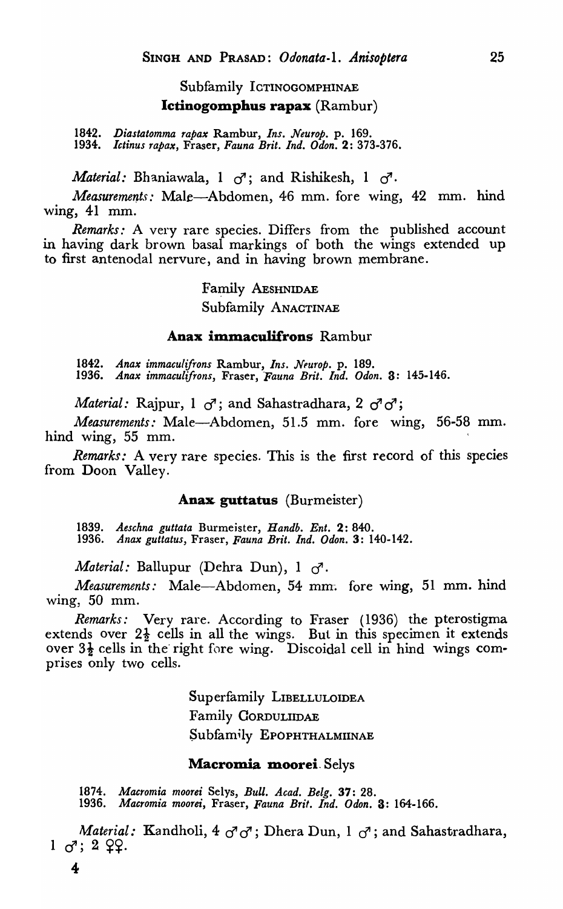## Subfamily ICTINOGOMPHINAE Ictinogomphus rapax (Rambur)

*1842. Diastatomma rapax* Rambur, *Ins. Neurop.* p. 169. *1934. Ictinus rapax,* Fraser, *Fauna Brit. Ind. Odon.* 2: 373-376.

*Material:* Bhaniawala, 1 *d';* and Rishikesh, 1 *d'.* 

*Measurements:* Male-Abdomen, 46 mm. fore wing, 42 mm. hind wing,  $41$  mm.

*Remarks:* A very rare species. Differs from the published account in having dark brown basal markings of both the wings extended up to first antenodal nervure, and in having brown membrane.

> Family AESHNIDAE Subfamily ANACTINAE

## Anax immaculifrons Rambur

*1842. Anax immaculifrons* Rambur, *Ins. Nfurop.* p. 189. *1936. Anax immaculifrons,* Fraser, *Fauna Brit. Ind. Odon.* 3: 145-146.

*Material:* Rajpur, 1  $\sigma$ ; and Sahastradhara, 2  $\sigma$ <sup>7</sup> $\sigma$ <sup>7</sup>;

*Measurements:* Male-Abdomen, 51.5 mm. fore wing, 56-58 mm. hind wing, 55 mm.

*Remarks:* A very rare species. This is the first record of this species from Doon Valley.

## Anax guttatus (Burmeister)

*1839. Aeschna guttata* Burmeister, *Handb. Ent.* 2: 840. *1936. Anax guttatus,* Fraser, *Fauna Brit. Ind. Odon.* 3: 140-142.

*Material: Ballupur (Dehra Dun), 1 d<sup>7</sup>.* 

*Measurements:* Male-Abdomen, 54 mm. fore wing, 51 mm. hind wing, 50 mm.

*Remarks:* Very rare. According to Fraser (1936) the pterostigma extends over  $2\frac{1}{2}$  cells in all the wings. But in this specimen it extends over  $3\frac{1}{2}$  cells in the right fore wing. Discoidal cell in hind wings comprises only two cells.

> Superfamily LIBELLULOIDEA Family CORDULIIDAE Subfamily EPOPHTHALMIINAE

#### Macromia moorei. Selys

*1874. Macromia moore;* Selys, *Bull. Acad. BeIg.* 37: 28. *1936. Macromia moorei,* Fraser, *Fauna Brit. Ind. Odon.* 3: 164-166.

*Material:* Kandholi, 4  $\sigma$ <sup>7</sup>  $\sigma$ ; Dhera Dun, 1  $\sigma$ <sup>7</sup>; and Sahastradhara,  $1 \, \sigma$ ;  $2 \, \Omega$ .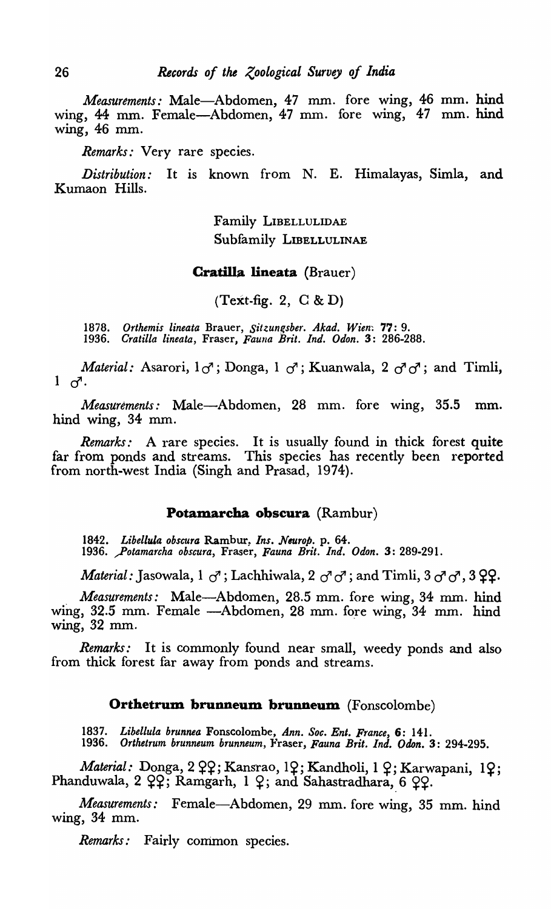*Measurements:* Male-Abdomen, 47 mm. fore wing, 46 mm. hind wing, 44 mm. Female-Abdomen, 47 mm. fore wing, 47 mm. hind wing, 46 mm.

*Remarks:* Very rare species.

*Distribution:* It is known from N. E. Himalayas, Simla, and Kumaon Hills.

> Family LIBELLULIDAE Subfamily LIBELLULINAE

## Cratilla lineata (Brauer)

 $(Text-fig. 2, C & D)$ 

*1878. Orthemis lineata* Brauer, *Sitzungsber. Akad.* Wien~ 77: 9. *1936. eratilla lineata,* Fraser, *Fauna Brit. Ind. Odon.* 3: 286-288.

*Material:* Asarori,  $1\sigma$ ; Donga,  $1\sigma$ ; Kuanwala,  $2\sigma\sigma$ ; and Timli,  $1 \sigma$ .

*Measurements:* Male-Abdomen, 28 mm. fore wing, 35.5 mm. hind *wing,* 34 mm.

*Remarks:* A rare species. It is usually found in thick forest quite far from ponds and streams. This *species* has recently been reported from north-west India (Singh and Prasad, 1974).

## Potamarcha obscura (Rambur)

1842. Libellula obscura Rambur, *Ins. Neurop.* p. 64. *1936.* ~otamarcha *a bscura*, Fraser, *Fauna Brit. Ind. Odon.* 3: 289-291.

*Material:* Jasowala, 1 <sup>d</sup>; Lachhiwala, 2 d' d'; and Timli, 3 d' d', 3 <del>9</del>9.

*Measurements:* Male-Abdomen, 28.5 mm. fore wing, 34 mm. hind wing, 32.5 mm. Female --Abdomen, 28 mm. fore wing, 34 mm. hind wing, 32 mm.

*Remarks:* It is commonly found near small, weedy ponds and also from thick forest far away from ponds and streams.

## Orthetrum brunneum brunneum (Fonscolombe)

*1837. Libellula brunnea* Fonscolombe, *Ann. Soc. Ent. France,* 6: 141. 1936. Orthetrum brunneum brunneum, Fraser, *Fauna Brit. Ind. Odon.* 3: 294-295.

 $$ Phanduwala, 2 ??; Ramgarh, 1 ?; and Sahastradhara, 6 ??.

*Measurements:* Female-Abdomen, 29 mm. fore wing, 35 mm. hind wing, 34 mm.

*Remarks:* Fairly common species.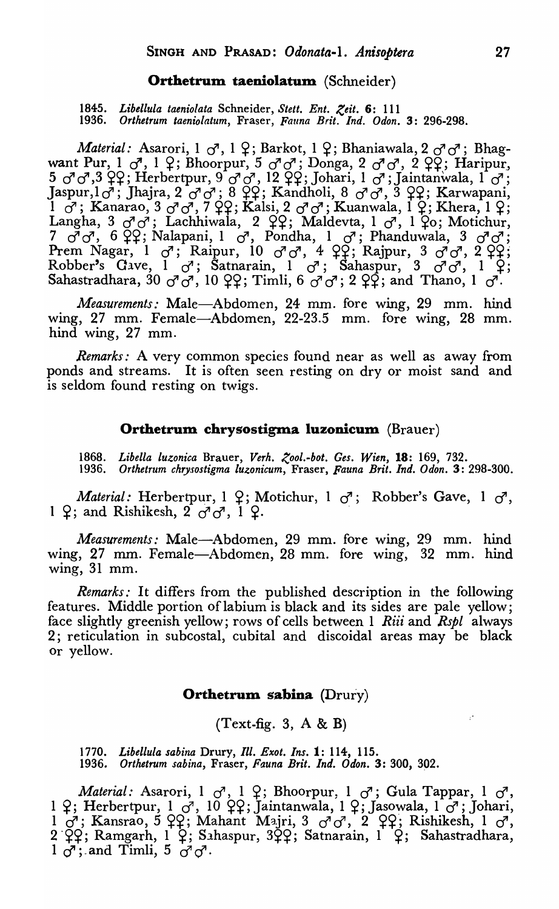### Orthetrum taeniolatum (Schneider)

1845. Libellula taeniolata Schneider, Stett. Ent. Zeit. 6: 111 *1936. Orthetrum taenio/alum,* Fraser, *Fauna Brit. Ind. Odon.* 3: 296-298.

*Material: Asarori, 1*  $\sigma$ *, 1*  $\varphi$ *; Barkot, 1*  $\varphi$ *; Bhaniawala, 2*  $\sigma$  $\sigma$ *<sup>;</sup> Bhag*want Pur, 1 *d*, 1 <del>2</del>; Bhoorpur, 5 *d*<sup>1</sup>*d*</sup>; Donga, 2 *d*<sup>1</sup>*d*<sup>2</sup>, 2 <del>Q</del>2; Haripur, *5 c! c!* ,3 ~~; Herbertpur, 9 *c! d',* 12 ~~; Johari, 1 *d';* Jaintanwala, 1 *c!;*  Jaspur, 1*c*<sup>7</sup>; Jhajra, 2<sup>1</sup>c<sup>7</sup>c7; 8 ??; Kandholi, 8 c7c7, 3 ??; Karwapani,  $\frac{1}{1}$   $\sigma$ ; Kanarao, 3  $\sigma$   $\sigma$ , 7  $\acute{q}$ 9; Kalsi, 2  $\sigma$   $\sigma$ ; Kuanwala, I  $\acute{q}$ ; Khera, 1  $\acute{q}$ ; Langha, 3  $\sigma$  o<sup>i</sup>; Lachhiwala, 2  $\varphi$ ?; Maldevta, 1  $\sigma$ , 1  $\varphi$ o; Motichur,  $7 \sigma^7 \sigma^7$ , 6  $99$ ; Nalapani, 1  $\sigma^7$ , Pondha, 1  $\sigma^7$ ; Phanduwala, 3  $\sigma^7 \sigma^7$ ; Prem Nagar, 1 *d*'; Raipur, 10 *d*'*d*', 4 ??; Rajpur, 3 *d*'*d*', 2 ??; Robber's Cave, 1  $\sigma'$ ; Satnarain, 1  $\sigma'$ ; Sahaspur, 3  $\sigma' \sigma'$ , 1  $\varphi$ ; Sahastradhara,  $30 \text{ } \sigma \sigma \sigma'$ ,  $10 \text{ } \mathcal{Q}$ ; Timli,  $6 \text{ } \sigma' \sigma'$ ;  $2 \text{ } \mathcal{Q}$ ; and Thano,  $1 \text{ } \sigma'$ .

*Measurements:* Male-Abdomen, 24 mm. fore wing, 29 mm. hind wing, 27 mm. Female-Abdomen, 22-23.5 mm. fore wing, 28 mm. hind wing, 27 mm.

*Remarks:* A very common species found near as well as away from ponds and streams. It is often seen resting on dry or moist sand and is seldom found resting on twigs.

## Orthetrum chrysostigma luzonicum (Brauer)

1868. Libella luzonica Brauer, Verh. Zool.-bot. Ges. Wien, **18**: 169, 732.<br>1936. Orthetrum chrysostigma luzonicum, Fraser, Fauna Brit. Ind. Odon. 3: *1936. Orthetrum chrysostigma luzonicum,* Fraser, *Fauna Brit. Ind. Odon.* 3: 298-300.

*Material:* Herbertpur, 1  $9$ ; Motichur, 1  $\sigma$ <sup>7</sup>; Robber's Gave, 1  $\sigma$ <sup>7</sup>, 1  $9$ ; and Rishikesh,  $2 \sigma \sigma$ , 1  $9$ .

*Measurements:* Male-Abdomen, 29 mm. fore wing, 29 mm. hind wing, 27 mm. Female-Abdomen, 28 mm. fore wing, 32 mm. hind wing, 31 mm.

*Remarks:* It differs from the published description in the following features. Middle portion of labium is black and its sides are pale yellow; face slightly greenish yellow; rows of cells between 1 *Riii* and *Rspl* always 2; reticulation in subcostal, cubital and discoidal areas may be black Or yellow.

## Orthetrum sabina  $(Drury)$

## $(Text-fig. 3, A & B)$

*1770. Libellula sabina* Drury, *Ill. Exot. Ins.* 1: 114, 115. *1936. Orthetrum sabina,* Fraser, *Fauna Brit. Ind. Odon.* 3: 300, 392.

*Material: Asarori, 1 d<sup>3</sup>, 1 2; Bhoorpur, 1 d<sup>3</sup>; Gula Tappar, 1 d<sup>3</sup>,* 1 <del>?</del>; Herbertpur, 1 *d*<sup>,</sup> 10 ??; Jaintanwala, 1 ?; Jasowala, 1 *d*<sup>3</sup>; Johari, 1  $+$ ; Herbertpar, 1  $\sigma$ , 10  $+$ +, Jamianwala, 1  $+$ ; Jasowala, 1  $\sigma$ , Johann, 1  $\sigma$ , 1  $\sigma$ , 2  $\sigma$ , 2  $\varphi$ , 2  $\varphi$ ; Rishikesh, 1  $\sigma$ ,  $2 \ \tilde{\varphi}$ ?; Ramgarh, 1 ?; Sahaspur, 3 $\tilde{\varphi}$ ?; Satnarain, 1 ?; Sahastradhara,  $1 \circ$ <sup>7</sup>; and Timli,  $5 \circ \circ \circ$ .

P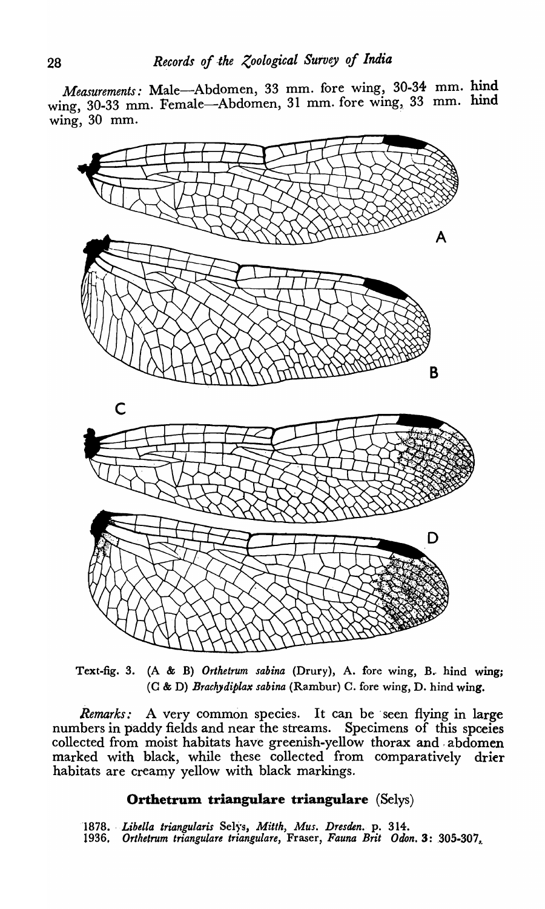*Measurements:* Male-Abdomen, 33 mm. fore wing, 30-34 mm. hind wing, 30-33 mm. Female—Abdomen, 31 mm. fore wing, 33 mm. hind wing, 30 mm.



Text-fig. 3. (A & B) Orthetrum sabina (Drury), A. fore wing, B. hind wing; (C & D) *Brachydiplax sabina* (Rambur) C. fore wing, D. hind wing.

*Remarks:* A very common species. It can be 'seen flying in large numbers in paddy fields and near the streams. Specimens of this spceies collected from moist habitats have greenish-yellow thorax and, abdomen marked with black, while these collected from comparatively drier habitats are creamy yellow with black markings.

## **Orthetrum triangulare triangulare** *(Selys)*

1878. Libella triangularis Selys, Mitth, Mus. Dresden. p. 314. 1936, Orthetrum triangulare triangulare, Fraser, Fauna Brit Odon. 3: 305-307,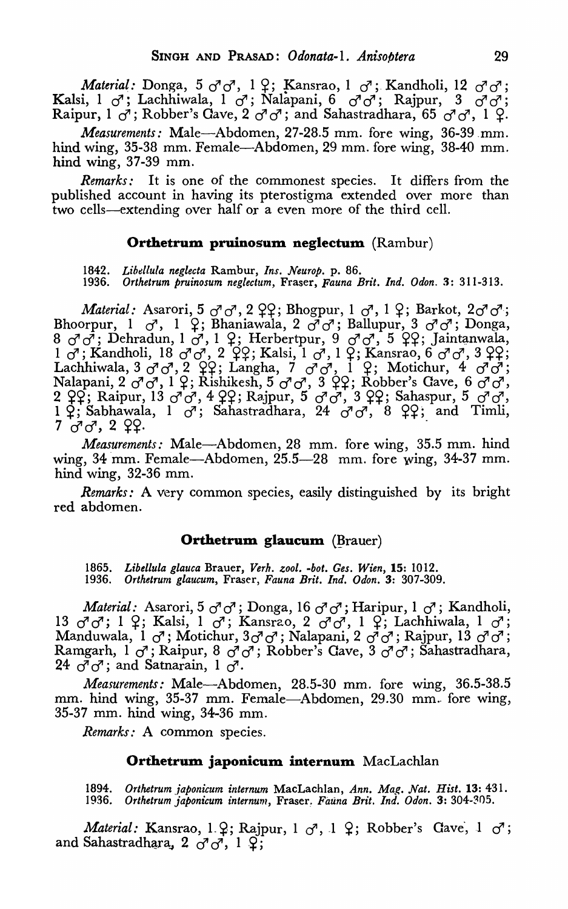Material: Donga, 5  $\sigma$   $\sigma$ , 1  $\varphi$ ; Kansrao, 1  $\sigma$ ; Kandholi, 12  $\sigma$   $\sigma$ ; *Kalsi*, 1 *d*'; *Lachhiwala*, 1 *d*'; *Nalapani*, 6 *d*'*d*'; *Rajpur*, 3 *d*'*d*'; *Kalsi*, 1 *d*'; *Lachhiwala*, 1 *d*'; *Nalapani*, 6 *d*'*d*'; *Rajpur*, 3 *d*'*d*'; Raipur,  $1 \sigma^i$ ; Robber's Cave,  $2 \sigma^i \sigma^i$ ; and Sahastradhara,  $65 \sigma^i \sigma^j$ ,  $1 \Omega$ .

*Measurements:* Male-Abdomen, 27-28.5 mm. fore wing, 36-39.mm. hind wing, 35-38 mm. Female—Abdomen, 29 mm. fore wing, 38-40 mm. hind wing, 37-39 mm.

*Remarks:* It is one of the commonest species. It differs from the published account in having its pterostigma extended over more than two cells—extending over half or a even more of the third cell.

## Orthetrum pruinosum neglectum (Rambur)

*1842. Libellula neglecta* Rambur, *Ins. Neurop.* p. 86.

*1936. Orthetrum pruinosum neglectum,* Fraser, *Fauna Brit. Ind. Odon.* 3: 311-313.

*Material:* Asarori, 5  $\sigma$ <sup>1</sup> $\sigma$ <sup>7</sup>, 2  $\Omega$ <sub>2</sub>; Bhogpur, 1  $\sigma$ <sup>7</sup>, 1  $\Omega$ ; Barkot, 2 $\sigma$ <sup>7</sup> $\sigma$ <sup>7</sup>; Bhoorpur,  $1 \quad \sigma$ ,  $1 \quad \mathcal{Q}$ ; Bhaniawala,  $2 \quad \sigma^2 \sigma^2$ ; Ballupur,  $3 \quad \sigma^2 \sigma^2$ ; Donga, 8 *d*<sup>1</sup>*d*<sub>1</sub>; Dehradun, 1 *d*<sup>1</sup>, 1 <sup>2</sup>; Herbertpur, 9 *d*<sup>1</sup>*d*<sup>1</sup>, 5 ° 29; Jaintanwala,  $1 \sigma$ ; Kandholi,  $18 \sigma$   $\sigma$ <sub>1</sub>,  $2 \sigma$ <sub>2</sub>; Kalsi,  $1 \sigma$ <sub>1</sub>,  $1 \sigma$ <sub>2</sub>; Kansrao, 6  $\sigma$ <sup>1</sup> $\sigma$ <sup>1</sup>, 3  $\sigma$ <sub>2</sub>; Lachhiwala, 3  $\sigma$   $\sigma$ , 2  $\varphi$   $\varphi$ ; Langha, 7  $\sigma$   $\sigma$ , I  $\varphi$ ; Motichur, 4  $\sigma$   $\sigma$ ; nalapani, 2  $\sigma$   $\sigma$ , 1  $\varphi$ ; Rishikesh, 5  $\sigma$   $\sigma$ , 3  $\varphi$  $\varphi$ ; Robber's Gave, 6  $\sigma$   $\sigma$ , 2 ??; Raipur, 13 *d'd*, 4 ??; Rajpur, 5 *d'd*<sup>1</sup>, 3 ??; Sahaspur, 5 *d'd*<sup>1</sup>,  $1~\varphi$ ; Sabhawala, 1  $\sigma$ <sup>7</sup>; Sahastradhara, 24  $\sigma$ <sup>7</sup> $\sigma$ <sup>7</sup>, 8  $\varphi$ 9; and Timli, 7 *d* d, 2 cc.

*Measurements:* Male—Abdomen, 28 mm. fore wing, 35.5 mm. hind wing,  $34 \text{ mm}$ . Female—Abdomen,  $25.5-28 \text{ mm}$ . fore wing,  $34-37 \text{ mm}$ . hind wing, 32-36 mm.

*Remarks:* A very common species, easily distinguished by its bright red abdomen.

## Orthetrum glaucum (Brauer)

*1865. Libellula glauca* Brauer, *Verh. zool. -bot. Ges. Wien,* 15: 1012. *1936. Orthetrum glaucum,* Fraser, *Fauna Brit. Ind. Odon.* 3: 307-309.

*Material:* Asarori, 5 *d*<sup>7</sup>*d*'; Donga, 16 *d*<sup>7</sup>*d*'; Haripur, 1 *d*'; Kandholi, 13 *c! d';* 1 ~; Kalsi, 1 *d';* Kansrao, 2 if *d',* 1 ~; Lachhiwala, 1 *d';*  15 *d d*, 1 <sub>+</sub>, **Kaisi**, 1 *d*, **Kaisiao**, 2 *d d*, 1 +, Laciniwala, 1 *d*,<br>Manduwala, 1 *d*'; Motichur, 3*d*'*d*'; Nalapani, 2 *d*'*d*'; Rajpur, 13 *d*'*d*'; Ramgarh, 1 *d';* Raipur, 8 *c! c!;* Robber's Cave, 3 *c! d';* Sahastradhara,  $24 \, \sigma^7 \sigma^7$ ; and Satnarain, 1  $\sigma^7$ .

*Measurements:* Male-Abdomen, 28.5-30 mm. fore wing, 36.5-38.5 mm. hind wing, 35-37 mm. Female-Abdomen, 29.30 mm. fore wing, 35-37 mm. hind wing, 34-36 mm.

*Remarks:* A common species.

#### **Orthetrum japonicum internum** MacLachlan

*1894. Orthetrum Japonicum internum* MacLachlan, *Ann. Mag. Nat. Hist.* 13: 431. *]936. Orthetrum japonicum internum,* Fraser.\_ *Fauna Brit. Ind. Odon.* 3: 304-305.

*Material:* Kansrao, 1.2; Rajpur, 1  $\sigma$ , 1 2; Robber's Cave, 1  $\sigma$ ; and Sahastradhara, 2  $\sigma$ <sup>1</sup>, 1  $\varphi$ ;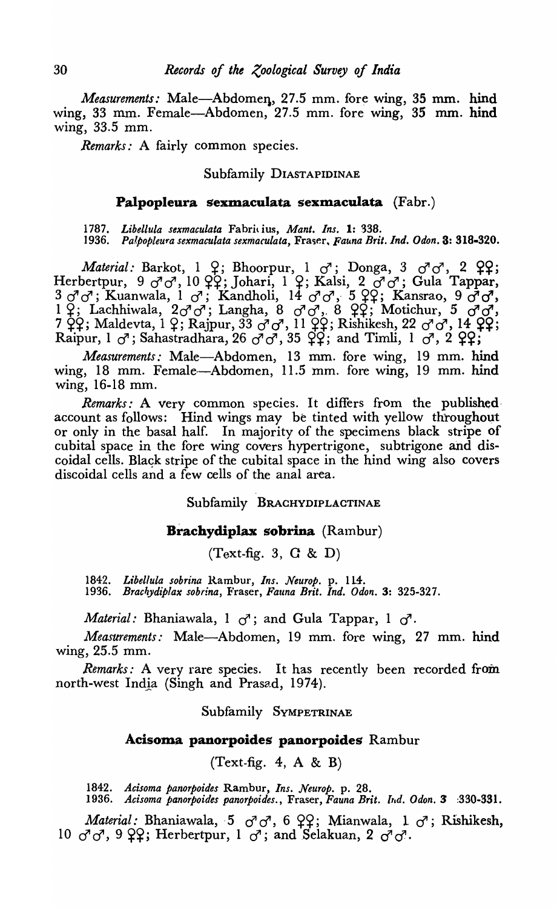*Measurements:* Male-Abdomen, 27.5 mm. fore wing, 35 mm. hind wing, 33 mm. Female-Abdomen, 27.5 mm. fore wing, 35 mm. hind wing, 33.5 mm.

*Remarks:* A fairly common species.

## Subfamily DIASTAPIDINAE

## Palpopleura sexmaculata sexmaculata (Fabr.)

*1787. Libellula sexmaculata* Fabri\ ius, *Mant. Ins.* 1: 338. 1936. Palpopleura sexmaculata sexmaculata, Fraser, Fauna Brit. Ind. Odon. 3: 318-320.

*Material: Barkot*, 1 *Q*; Bhoorpur, 1 *d*'; Donga, 3 *d*'*d*', 2 *Q*?; Herbertpur, 9 *d*' *d*', 10 QQ; Johari, 1 Q; Kalsi, 2 *d*' *d*'; Gula Tappar, 3 d'd'; Kuanwala, 1 d'; Kandholi, 14 d'd', 5 99; Kansrao, 9 d'o',<br>1 9; Lachhiwala, 2d'd'; Langha, 8 d'd', 8 99; Motichur, 5 d' d',  $7 ~\dot{\varphi}\acute{\varphi}$ ; Maldevta, 1  $\varphi$ ; Rajpur, 33  $\dot{\sigma}$   $\sigma$ , 11  $\check{\varphi}\acute{\varphi}$ ; Rishikesh, 22  $\sigma$   $\dot{\sigma}$ , 14  $\check{\varphi}\acute{\varphi}$ ; Raipur, 1 *d*'; Sahastradhara, 26 *d*'*d*', 35  $2$ ?; and Timli, 1 *d*', 2 2?;

*Measurements:* Male-Abdomen, 13 mm. fore wing, 19 mm. hind wing, 18 mm. Female-Abdomen, 11.5 mm. fore wing, 19 mm. hind wing, 16-18 mm.

*Remarks:* A very common species. It differs from the published· account as follows: Hind wings may be tinted with yellow throughout or only in the basal half. In majority of the specimens black stripe of cubital space in the fore wing covers hypertrigone, subtrigone and discoidal cells. Black stripe of the cubital space in the hind wing also covers discoidal cells and a few cells of the anal area.

Subfamily BRACHYDIPLACTINAE

## Brachydiplax sobrina (Rambur)

 $(Text-fig. 3, G & D)$ 

1842. Libellula sobrina Rambur, Ins. Neurop. p. 114. 1936. Brachydiplax sobrina, Fraser, Fauna Brit. Ind. Odon. 3: 325-327.

*Material:* Bhaniawala, 1  $\sigma$ ; and Gula Tappar, 1  $\sigma$ <sup>7</sup>.

*Measurements:* Male—Abdomen, 19 mm. fore wing, 27 mm. hind wing, 25.5 mm.

*Remarks:* A very rare species. It has recently been recorded from north-west India (Singh and Prasad, 1974).

Subfamily SVMPETRINAE

#### Acisoma panorpoides panorpoides Rambur

 $(Text-fig. 4, A & B)$ 

*1842. Acisoma panorpoides* Rambur, *Ins. Neurop.* p. 28.

*1936. Acisoma panorpoides panorpoides.,* Fraser, *Fauna Brit. bId. Odon.* 3 :330-331.

*Material: Bhaniawala, 5*  $\sigma$  $\sigma$ *, 6*  $\varphi$ *?; Mianwala, 1*  $\sigma$ *; Rishikesh,* 10  $\sigma$ <sup>7</sup> $\sigma$ <sup>7</sup>, 9  $22$ ; Herbertpur, 1  $\sigma$ <sup>7</sup>; and Selakuan, 2  $\sigma$ <sup>7</sup> $\sigma$ <sup>7</sup>.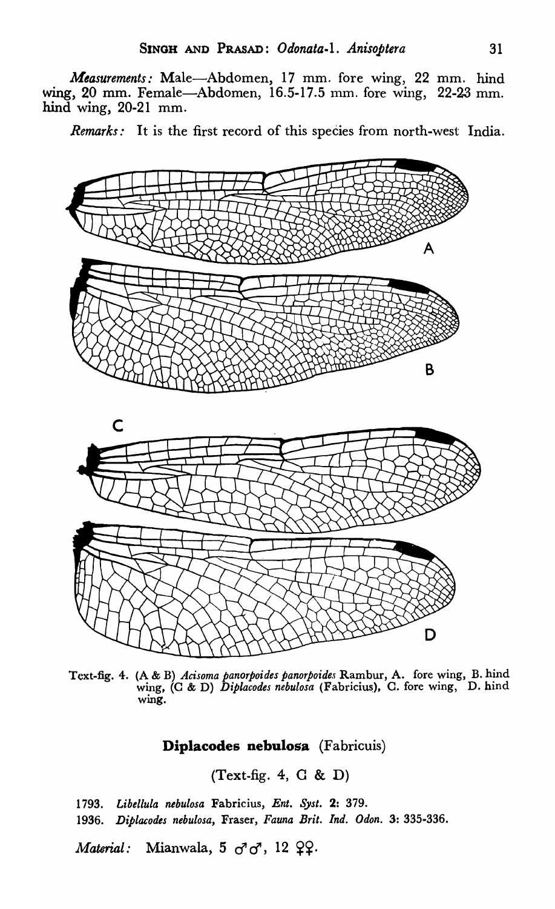*Measurements:* Male-Abdomen, 17 mm. fore wing, 22 mm. hind wing, 20 mm. Female-Abdomen, 16.5-17.5 mm. fore wing, 22-23 mm. hind wing, 20-21 mm.

*Remarks:* It is the first record of this species from north-west India.



Text-fig. 4. (A & B) *Acisoma panorpoides panorpoides* Rambur, A. fore wing, B. hind wing, (C & D) *Diplacodes nebulosa* (Fabricius), C. fore wing, D. hind wing.

## Diplacodes nebulosa (Fabricuis)

(Text-fig. 4, C & D)

*1793. Libellula nebulosa* Fabricius, *Ent. Syst.* 2: 379. *1936. Diplacodes nebulosa,* Fraser, *Fauna Brit. Ind. Ddon.* 3: 335-336. *Material:* Mianwala, 5  $\sigma^2 \sigma^3$ , 12  $\Omega$ .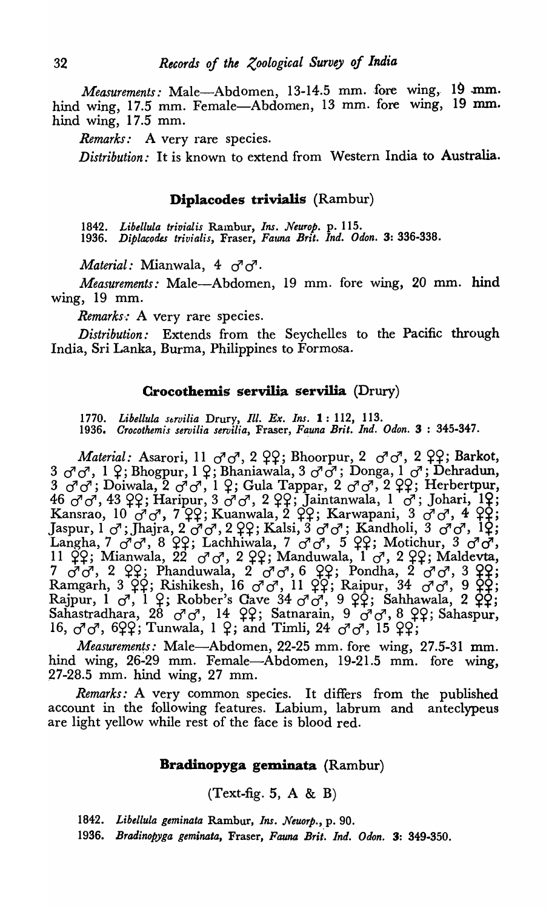*Measurements:* Male-Abdomen, 13-14.5 mm. fore wing, 19 mm. hind wing, 17.5 mm. Female-Abdomen, 13 mm. fore wing, 19 mm. hind wing, 17.5 mm.

*Remarks:* A very rare species.

*Distribution:* It is known to extend from Western India to Australia.

## Diplacodes trivialis (Rambur)

1842. Libellula trivialis Rambur, *Ins. Neurop.* p. 115. 1936. *Diplacodes trivialis,* Fraser, *Fauna Brit. Ind. Odon.* 3: 336-338.

*Material: Mianwala*, 4  $\sigma$ <sup>7</sup>.

*Measurements:* Male-Abdomen, 19 mm. fore wing, 20 mm. hind wing, 19 mm.

*Remarks:* A very rare species.

*Distribution:* Extends from the Seychelles to the Pacific through India, Sri Lanka, Burma, Philippines to Formosa.

### Crocothemis servilia servilia (Drury)

*1770. Libellula strvilia* Drury, *Ill. Ex. Ins.* 1: 112, 113. 1936. *Crocothemis servilia servilia,* Fraser, *Fa.una Brit. Ind. Odon.* 3 : 345-347.

*Material: Asarori, 11*  $\sigma$ *<sup>1</sup>0<sup>7</sup>, 2 22; Bhoorpur, 2*  $\sigma$ *<sup>1</sup>0<sup>7</sup>, 2 22; Barkot,*  $3 \sigma^7 \sigma^7$ , 1  $\varphi$ ; Bhogpur, 1  $\varphi$ ; Bhaniawala, 3  $\sigma^7 \sigma^7$ ; Donga, 1  $\sigma^7$ ; Dehradun,  $3$   $\sigma$  $\sigma'$ ; Doiwala,  $2$   $\sigma$  $\sigma'$ , 1  $\varphi$ ; Gula Tappar, 2  $\sigma$  $\sigma'$ , 2  $\varphi$  $\varphi$ ; Herbertpur,  $^{3}$   $^{3}$   $^{3}$   $^{3}$   $^{4}$   $^{3}$   $^{2}$   $^{2}$ ;  $^{4}$   $^{3}$   $^{4}$   $^{2}$   $^{3}$ ;  $^{4}$   $^{4}$   $^{3}$   $^{2}$   $^{2}$ ;  $^{4}$   $^{3}$   $^{2}$ ;  $^{4}$   $^{3}$ ;  $^{4}$   $^{2}$ ;  $^{5}$   $^{1}$  $^{2}$ ;  $^{1}$  $^{2}$ ;  $^{1}$  $^{2}$ ;  $^{1}$  $^{2}$ ;  $^{1}$  $^{2}$ ; Kansrao, 10  $\sigma$  $\sigma$ , 7  $\Omega$ ; Kuanwala, 2  $\Omega$ ; Karwapani, 3  $\sigma$  $\sigma$ , 4  $\Omega$ ; Jaspur, 1  $\sigma$ ; Jhajra, 2  $\sigma$  $\sigma$ , 2  $\varphi$ ; Kalsi, 3  $\sigma$  $\sigma$ ; Kandholi, 3  $\sigma$  $\sigma$ , 1 $\varphi$ ; Langha, 7 *d'd*<sup>, 8</sup> PP; Lachhiwala, 7 *d*' d<sup>7</sup>, 5 PP; Motichur, 3 d'd<sup>7</sup>, 11  $\hat{\varphi}$ ?; Mianwala, 22  $\sigma$   $\sigma$ , 2  $\varphi$ ?; Manduwala, 1  $\sigma$ , 2  $\varphi$ ?; Maldevta,  $7 \sigma \sigma$ , 2  $99$ ; Phanduwala, 2  $\sigma$  $\sigma$ , 6  $99$ ; Pondha, 2  $\sigma \sigma$ , 3  $99$ ; Ramgarh, 3  $\overrightarrow{QP}$ ; Rishikesh, 16  $\sigma\sigma$ , 11  $\overrightarrow{QP}$ ; Raipur, 34  $\sigma\sigma\sigma$ , 9  $\overrightarrow{QP}$ ; Rajpur,  $1 \text{ } \sigma, 1 \text{ } \varphi;$  Robber's Cave 34  $\sigma \sigma, 9 \text{ } \varphi;$  Sahhawala, 2  $\varphi\varphi;$ Sahastradhara, 28  $\sigma$  $\sigma$ , 14  $\varphi$ ?; Satnarain, 9  $\sigma$  $\sigma$ , 8  $\varphi$ ?; Sahaspur, 16,  $\sigma$   $\sigma$ , 622; Tunwala, 1 2; and Timli, 24  $\sigma$   $\sigma$ , 15 22;

Measurements: Male-Abdomen, 22-25 mm. fore wing, 27.5-31 mm. hind wing, 26-29 mm. Female-Abdomen, 19-21.5 mm. fore wing, 27-28.5 mm. hind wing, 27 mm.

*Remarks:* A very common species. It differs from the published account in the following features. Labium, labrum and anteclypeus are light yellow while rest of the face is blood red.

## Bradinopyga geminata (Rambur)

 $(Text-fig. 5, A & B)$ 

*1842. Libellula geminata* Rambur, *Ins. Neuorp.,* p. 90.

1936. *Bradinopyga geminata,* Fraser, *Fauna Brit. Ina. Odon.* 3: 349-350.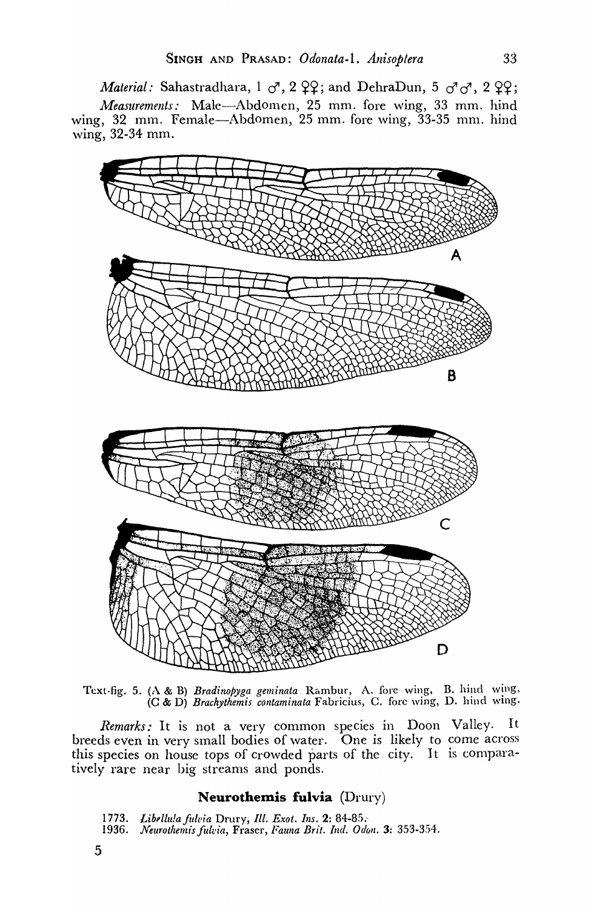*Material:* Sahastradhara,  $1 \circ 7$ ,  $2 \circ 9$ ; and DehraDun,  $5 \circ 7 \circ 7$ ,  $2 \circ 9$ ; *Measurements:* Male-Abdomen, 25 mm. fore wing, 33 mm. hind wing,  $32 \text{ mm}$ . Female-Abdomen,  $25 \text{ mm}$ . fore wing,  $33-35 \text{ mm}$ . hind wing, 32-34 mm.



Text-fig. 5. (A & B) *Bradinopyga geminata* Rambur, A. fore \ving, B. hind wing, (C & D) *Brachythemis contaminata* Fabricius, C. fore wing, D. hind wing.

*Rernarks:* It is not a very common species in Doon Valley. It breeds even in very small bodies of water. One is likely to come across this species on house tops of crowded parts of the city. It is comparatively rare near big streams and ponds.

## **Neurothemis fulvia** (Drury)

*1773. Libl'llu!afu/via* Drury, *Ill. Exot. Ins.* 2: 84-85.'

- 1936. Neurothemis fulvia, Fraser, Fauna Brit. Ind. Odon. 3: 353-354.
- 5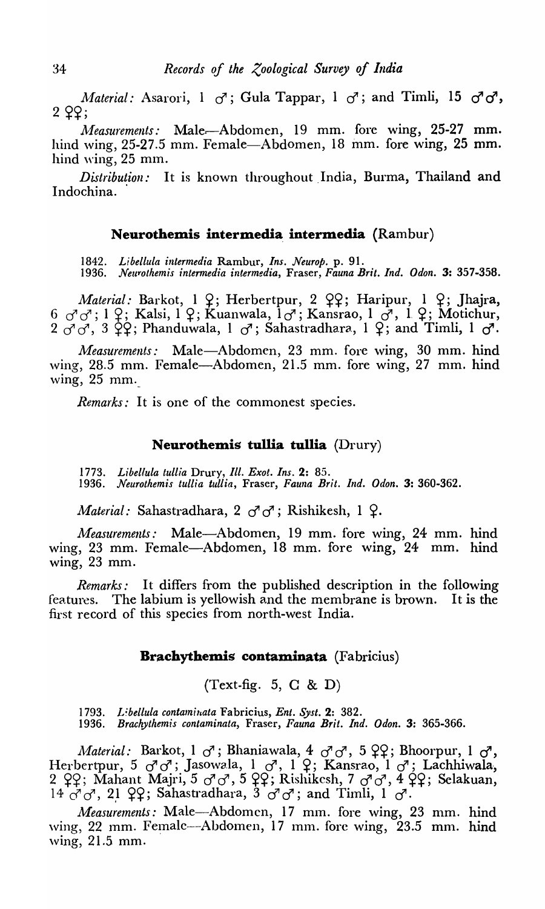*Material:* Asarori, 1  $\sigma$ ; Gula Tappar, 1  $\sigma$ ; and Timli, 15  $\sigma$   $\sigma$ ,  $2$   $22$ ;

*Measurements:* Male-Abdomen, 19 mm. fore wing, 25-27 mm. hind wing, 25-27.5 mm. Female-Abdomen, 18 mm. fore wing, 25 mm. hind wing, 25 mm.

*Distribution:* It is known throughout India, Burma, Thailand and Indochina.

## **Neurothemis intermedia intermedia** (Rambur)

1842. Libellula intermedia Rambur, Ins. Neurop. p. 91.

*1936. Neuyothemis intermedia intermedia,* Fraser, *Fauna Brit. Ind. Odon.* 3: 357-358.

*Material: Barkot, 1 2; Herbertpur, 2 22; Haripur, 1 2; Jhajra,*  $6 \,$   $\sigma$   $\sigma$ ; 1  $\varphi$ ; Kalsi, 1  $\varphi$ ; Kuanwala, 1 $\sigma$ ; Kansrao, 1  $\sigma$ , 1  $\varphi$ ; Motichur,  $2 \sigma \sigma$ ,  $3 \text{ } \text{ } \text{ } \text{ } 2 \text{ } \text{ }$  Phanduwala,  $1 \text{ } \sigma$ '; Sahastradhara,  $1 \text{ } \text{ } \text{ } \text{ } 2$ ; and Timli,  $1 \text{ } \sigma$ '.

Measurements: Male-Abdomen, 23 mm. fore wing, 30 mm. hind wing, 28.5 mm. Female-Abdomen, 21.5 mm. fore wing, 27 mm. hind  $wing, 25 mm.$ 

*Remarks*: It is one of the commonest species.

## **Neurothemis tullia tullia** *(Drury)*

*1773. Libellula tullia* Drury, *Ill. Exot. Ins.* 2: 85. *1936. Neurothemis tullia tullia,* Fraser, *Fauna Brit. Ind. Odon,* 3: 360-362.

*Material:* Sahastradhara, 2  $\sigma$ <sup>7</sup>  $\sigma$ ; Rishikesh, 1  $\Omega$ .

*Measurements:* Male-Abdomen, 19 mm. fore wing, 24 mm. hind wing, 23 mm. Female-Abdomen, 18 mm. fore wing, 24 mm. hind wing, 23 mm.

*Remarks:* It differs from the published description in the following features. The labium is yellowish and the membrane is brown. It is the first record of this species from north-west India.

## **Brachythemis contaminata** (Fabricius)

(Text-fig. 5, C & D)

1793. Libellula contaminata Fabricius, *Ent. Syst.* 2: 382. *1936. Brachythemis contaminata,* Fraser, *Fauna Brit. Ind. Odon.* 3: 365-366.

*Material:* Barkot, 1  $\sigma$ ; Bhaniawala, 4  $\sigma$ <sup>7</sup> $\sigma$ <sup>7</sup>, 5  $2$ ?; Bhoorpur, 1  $\sigma$ <sup>7</sup>, Herbertpur, 5  $\sigma^7 \sigma^7$ ; Jasowala, 1  $\sigma^7$ , 1  $\varphi$ ; Kansrao, 1  $\sigma^7$ ; Lachhiwala, 2  $Q$ ?; Mahant Majri, 5  $\sigma$   $\sigma$ , 5  $QQ$ ; Rishikesh, 7  $\sigma$   $\sigma$ , 4  $QQ$ ; Selakuan,  $14$   $\sigma$   $\sigma$ , 21  $22$ ; Sahastradhara, 3  $\sigma$   $\sigma$ ; and Timli, 1  $\sigma$ .

*Measurements: Male*-Abdomen, 17 mm. fore wing, 23 mm. hind  $\frac{1}{10}$  ving, 22 mm. Femalc--Abdomen, 17 mm. fore  $\text{wing}, 23.5$  mm. hind ,ving, 21.5 mm.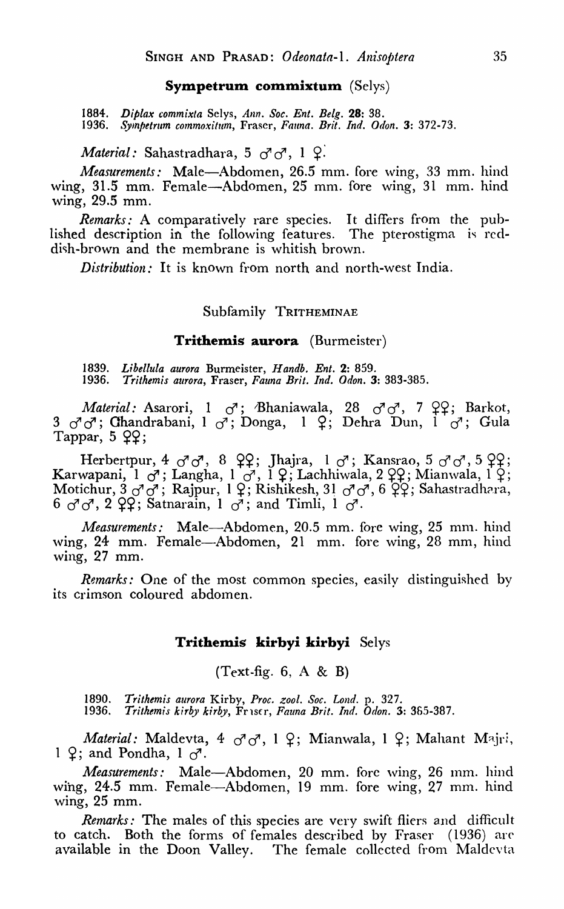#### **Sympetrum commixtum** (Selys)

*1884. Diplax commixla* Selys, *Ann. Soc. Ent. Belg.* 28: 38. 1936. Sympetrum commoxitum, Fraser, Fauna. Brit. Ind. Odon. 3: 372-73.

*Material:* Sahastradhara, 5  $\sigma$ <sup>1</sup> $\sigma$ <sup>7</sup>, 1  $\Omega$ .

*Measurements:* Male-Abdomen, 26.5 mm. fore wing, 33 mm. hind wing, 31.5 mm. Female-Abdomen, 25 mm. fore wing, 31 mm. hind wing, 29.5 mm.

*Remarks:* A comparatively rare species. It differs from the published description in the following features. The pterostigma is reddish-brown and the membrane is whitish brown.

*Distribution:* It is known from north and north-west India.

## Subfamily TRITHEMINAE

## **Trithemis aurora** (Burmeister)

*1839. Libellula aurora* Burmeister, *H andb. Ent.* 2: 859. *1936. Trlthemis aurora,* Fraser, *Fauna Brit. Ind. Odon.* 3: 383-385.

*Material:* Asarori, 1  $\sigma$ ; Bhaniawala, 28  $\sigma$ <sup>7</sup> $\sigma$ <sup>7</sup>, 7  $\varphi$ ?; Barkot, 3 *d*<sup>d</sup>; Chandrabani, 1 <sup>d</sup>; Donga, 1 ?; Dehra Dun, 1 d<sup>7</sup>; Gula Tappar,  $5$   $22$ ;

Herbertpur, 4  $\sigma$ <sup>7</sup> $\sigma$ <sup>7</sup>, 8  $22$ ; Jhajra, 1  $\sigma$ <sup>7</sup>; Kansrao, 5  $\sigma$ <sup>7</sup> $\sigma$ <sup>7</sup>, 5  $22$ ; Karwapani, 1  $\sigma$ ; Langha, 1  $\sigma$ , 1  $\varphi$ ; Lachhiwala, 2  $\varphi$ C; Mianwala, 1  $\varphi$ ; Motichur,  $3 \sigma \sigma$ ; Rajpur, 1  $2$ ; Rishikesh, 31  $\sigma \sigma$ , 6  $2$ , Sahastradhara, 6  $\sigma$ <sup> $\sigma$ </sup>, 2  $\varphi$  $\varphi$ ; Satnarain, 1  $\sigma$ ; and Timli, 1  $\sigma$ <sup>7</sup>.

*Measurements:* Male-Abdomen, 20.5 mm. fore wing, 25 mm. hind wing, 24 mm. Female-Abdomen, 21 mm. fore wing, 28 mm, hind wing, 27 mm.

*Remarks:* One of the most common species, easily distinguished by its crimson coloured abdomen.

## **Trithemis kirbyi kirbyi** Selys

 $(Text-fig. 6, A & B)$ 

*1890. Trithemis aurora* Kirby, *Proc. zool. Soc. Lond.* p. 327. *1936. Trithemis kirby kirby,* FrlS(r, *Fauna Brit. Ind. Odon.* 3: 365-387.

*Material: Maldevta, 4*  $\sigma \sigma$ *, 1*  $\Omega$ *; Mianwala, 1*  $\Omega$ *; Mahant Majri,* 1  $\varphi$ ; and Pondha, 1  $\sigma$ .

*Measurements:* Male-Abdomen, 20 mm. fore wing, 26 mm. hind wing, 24.5 mm. Female—Abdomen, 19 mm. fore wing, 27 mm. hind wing, 25 mm.

*Renzarks:* The males of this species are very swift fliers and difficult to catch. Both the forms of females described by Fraser (1936) arc available in the Doon Valley. The female collected from Maldevta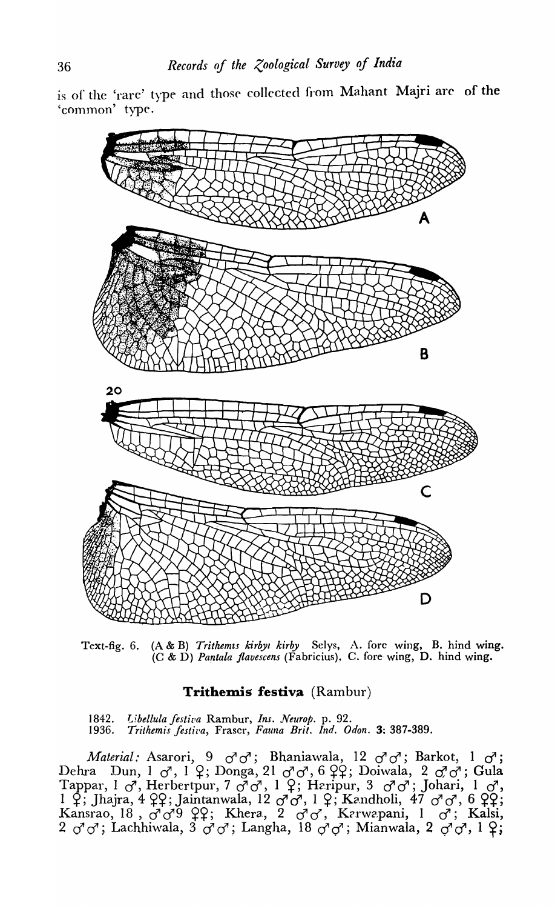is of the 'rare' type and those collected from Mahant Majri are of the 'common' type.



Text-fig. 6. (A & B) *Trithemts kirbyt kirby* Selys, A. fore wing, B. hind wing. (C & D) *Parztala flavescens* (Fabricius), C. fore wing, D. hind wing.

## Trithemis festiva (Rambur)

1842. Libellula festiva Rambur, *Ins. Neurop.* p. 92.<br>1936. Trithemis festiva, Fraser, Fauna Brit. Ind. O *1936. Trithemis jestil'a,* Fraser, *Fauna Brit. Ind. Odon.* 3: 387-389.

*Material:* Asarori, 9  $\sigma \sigma$ ; Bhaniawala, 12  $\sigma \sigma$ ; Barkot, 1  $\sigma$ ; Dehra Dun, 1 *d*<sup>1</sup>, 1 <sup>9</sup>; Donga, 21 *d*<sup>1</sup> *d*<sup>1</sup>, 6 <sup>9</sup>9; Doiwala, 2 *d*<sup>1</sup> *d*<sup>1</sup>; Gula Tappar, 1 *d*<sup>1</sup>, Herbertpur, 7 d<sup>7</sup> d<sup>7</sup>, 1 <sup>Q</sup>; Heripur, 3 d<sup>7</sup> d<sup>7</sup>; Johari, 1 d<sup>7</sup>, 1  $\overline{3}$ ; Jhajra, 4  $\overline{2}$ 9; Jaintanwala, 12  $\sigma\sigma$ , 1  $\overline{9}$ ; Kandholi, 47  $\sigma\sigma$ , 6  $\overline{2}$ 9; Kansrao, 18, *d*<sup>1</sup>*d*<sup>9</sup> ??; Khera, 2 *d*<sup>1</sup>*d*</sub>, Kerwapani, 1 *d*<sup>2</sup>; Kalsi,  $2 \sigma^7 \sigma^7$ ; Lachhiwala,  $3 \sigma^7 \sigma^7$ ; Langha,  $18 \sigma^7 \sigma^7$ ; Mianwala,  $2 \sigma^7 \sigma^7$ ,  $1 \mathcal{Q}$ ;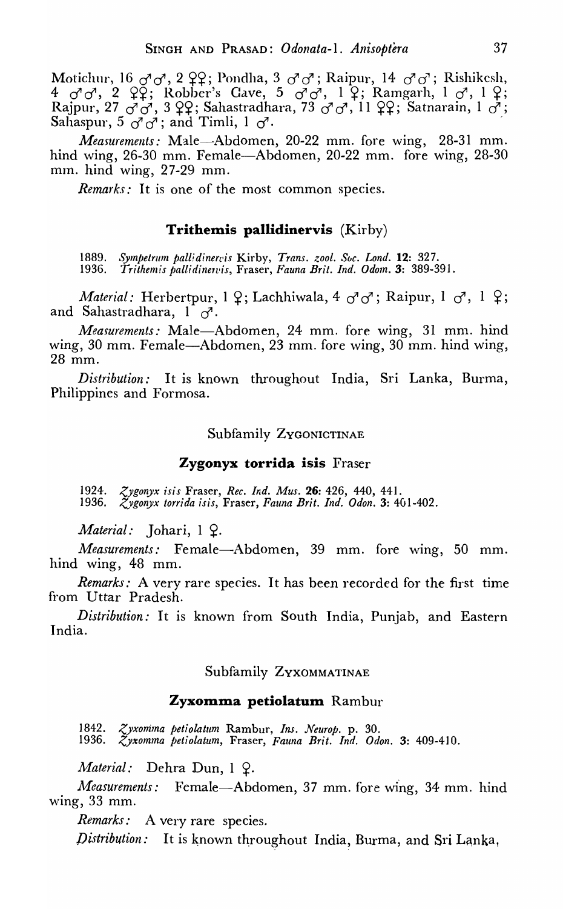Motichur, 16  $\sigma$ <sup>1</sup> $\sigma$ , 2  $\varphi$ <sup>2</sup>; Pondha, 3  $\sigma$ <sup>1</sup> $\sigma$ <sup>3</sup>; Raipur, 14  $\sigma$ <sup>1</sup> $\sigma$ <sup>3</sup>; Rishikesh, 4  $\sigma$ <sup>1</sup> $\sigma$ <sup>7</sup>, 2  $\varphi$  $\varphi$ ; Robber's Cave, 5  $\sigma$ <sup>1</sup> $\sigma$ <sup>7</sup>, 1  $\varphi$ ; Ramgarh, 1  $\sigma$ <sup>7</sup>, 1  $\varphi$ ; Rajpur, 27  $\sigma$   $\sigma$ , 3  $\varphi$ ; Sahastradhara, 73  $\sigma$   $\sigma$ , 11  $\varphi$ ; Satnarain, 1  $\sigma$ ; Sahaspur,  $5 \circ \sigma$ ; and Timli,  $1 \circ \sigma$ .

*Measurements:* Male-Abdomen, 20-22 mm. fore wing, 28-31 mm. hind wing, 26-30 mm. Female—Abdomen, 20-22 mm. fore wing, 28-30 mm. hind wing,  $27-29$  mm.

*Remarks:* It is one of the most common species.

## **Trithemis pallidinervis** *(Kirby)*

1889. *Sympetrum pallidinervis* Kirby, *Trans. zool. Soc. Lond.* **12:** 327.<br>1936. *Trithemis pallidinervis.* Fraser, Fauna Brit. Ind. Odom. 3: 389-3! 1936. *Trithemis /Jalli dine1vis,* Fraser, *Fauna Brit. Ind. Odom.* 3: 389-39 I.

*Material:* Herbertpur, 1  $9$ ; Lachhiwala, 4  $\sigma \sigma$ ; Raipur, 1  $\sigma$ <sup>7</sup>, 1  $9$ ; and Sahastradhara,  $1 \sigma$ .

*Measurements: Male*-Abdomen, 24 mm. fore wing, 31 mm. hind wing, 30 mm. Female—Abdomen, 23 mm. fore wing, 30 mm. hind wing, 28 mm.

*Distribution:* It is known throughout India, Sri Lanka, Burma, Philippines and Formosa.

Subfamily Zygonictinae

## **Zygonyx torrida isis** Fraser

1924. *Zygonyx isis* Fraser, *Rec. Ind. Mus.* **26**: 426, 440, 441. 1936. *Zygonyx torrida isis, Fraser, Fauna Brit. Ind. Odon.* 3: 401-402.

*Material:* Johari, 1 9.

*Measurements:* Female-Abdomen, 39 mm. fore wing, 50 mm. hind wing, 48 mm.

*Remarks:* A very rare species. It has *been* recorded for the first time from Uttar Pradesh.

*Distribution:* It is known from South India, Punjab, and Eastern India.

## Subfamily ZYXOMMATINAE

## **Zyxomma petiolatum** Rambur

1842. *<yxonima petiolatum* Rambur, *Ins. Neurop.* p. 30. 1936. *Zyxomma petiolatum, Fraser, Fauna Brit. Ind. Odon.* 3: 409-410.

*Material:* Dehra Dun, 1 9.

*Measurements:* Female—Abdomen, 37 mm. fore wing, 34 mm. hind \ving, 33 mm.

*Remarks:* A very rare species.

*Distribution:* It is known throughout India, Burma, and Sri Lanka,